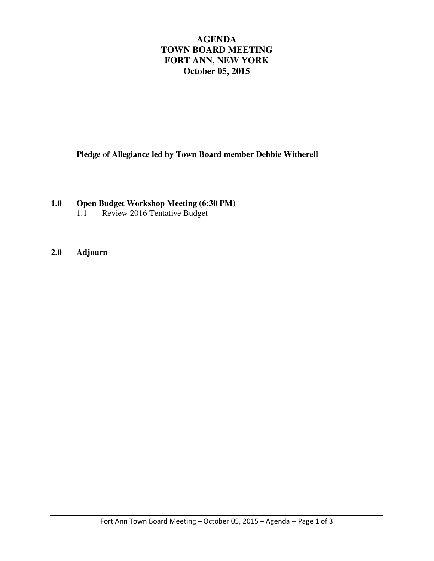## **AGENDA TOWN BOARD MEETING FORT ANN, NEW YORK October 05, 2015**

 **Pledge of Allegiance led by Town Board member Debbie Witherell** 

# **1.0 Open Budget Workshop Meeting (6:30 PM)**<br>1.1 Review 2016 Tentative Budget

- Review 2016 Tentative Budget
- **2.0 Adjourn**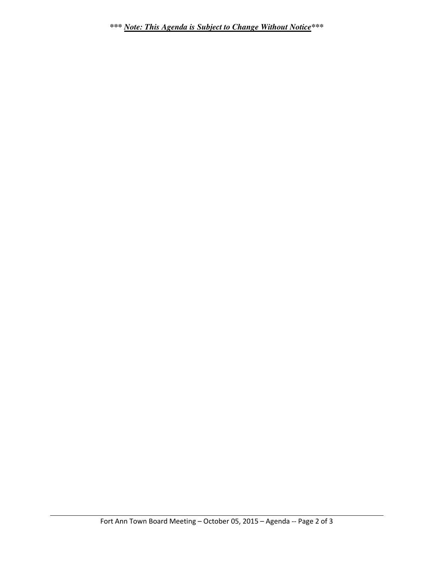*\*\*\* Note: This Agenda is Subject to Change Without Notice\*\*\**